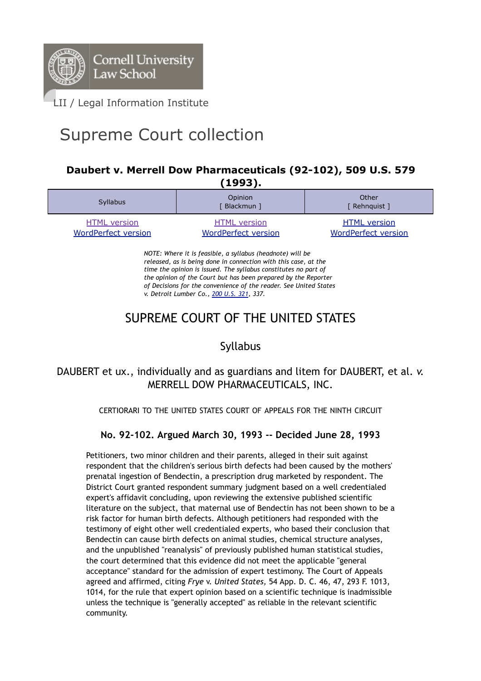

# Supreme Court collection

#### **Daubert v. Merrell Dow Pharmaceuticals (92-102), 509 U.S. 579 (1993).**

| -----                                             |                                                   |                                                   |
|---------------------------------------------------|---------------------------------------------------|---------------------------------------------------|
| <b>Syllabus</b>                                   | Opinion<br>Blackmun ]                             | Other<br>[ Rehnquist ]                            |
| <b>HTML</b> version<br><b>WordPerfect version</b> | <b>HTML</b> version<br><b>WordPerfect version</b> | <b>HTML</b> version<br><b>WordPerfect version</b> |

*NOTE: Where it is feasible, a syllabus (headnote) will be released, as is being done in connection with this case, at the time the opinion is issued. The syllabus constitutes no part of the opinion of the Court but has been prepared by the Reporter of Decisions for the convenience of the reader. See United States v. Detroit Lumber Co., 200 U.S. 321, 337.*

## SUPREME COURT OF THE UNITED STATES

## Syllabus

### DAUBERT et ux., individually and as guardians and litem for DAUBERT, et al. *v.* MERRELL DOW PHARMACEUTICALS, INC.

CERTIORARI TO THE UNITED STATES COURT OF APPEALS FOR THE NINTH CIRCUIT

#### **No. 92-102. Argued March 30, 1993 -- Decided June 28, 1993**

Petitioners, two minor children and their parents, alleged in their suit against respondent that the children's serious birth defects had been caused by the mothers' prenatal ingestion of Bendectin, a prescription drug marketed by respondent. The District Court granted respondent summary judgment based on a well credentialed expert's affidavit concluding, upon reviewing the extensive published scientific literature on the subject, that maternal use of Bendectin has not been shown to be a risk factor for human birth defects. Although petitioners had responded with the testimony of eight other well credentialed experts, who based their conclusion that Bendectin can cause birth defects on animal studies, chemical structure analyses, and the unpublished "reanalysis" of previously published human statistical studies, the court determined that this evidence did not meet the applicable "general acceptance" standard for the admission of expert testimony. The Court of Appeals agreed and affirmed, citing *Frye* v. *United States,* 54 App. D. C. 46, 47, 293 F. 1013, 1014, for the rule that expert opinion based on a scientific technique is inadmissible unless the technique is "generally accepted" as reliable in the relevant scientific community.